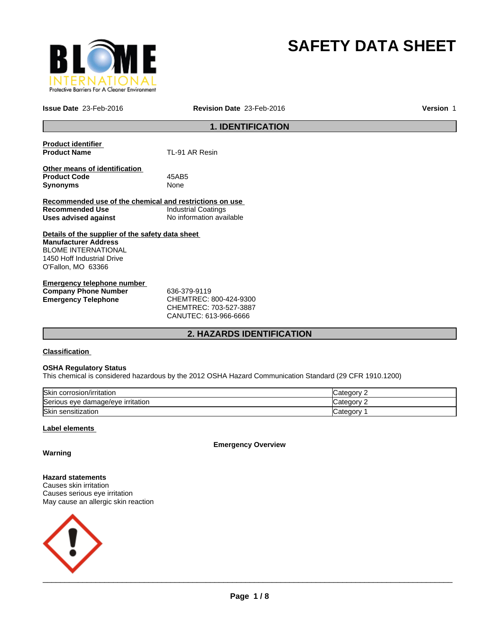

# **SAFETY DATA SHEET**

**Issue Date** 23-Feb-2016 **Revision Date** 23-Feb-2016 **Version** 1

# **1. IDENTIFICATION**

| <b>Product identifier</b>                               |                            |
|---------------------------------------------------------|----------------------------|
| <b>Product Name</b>                                     | TL-91 AR Resin             |
|                                                         |                            |
| Other means of identification                           |                            |
| <b>Product Code</b>                                     | 45AB5                      |
| <b>Synonyms</b>                                         | None                       |
|                                                         |                            |
| Recommended use of the chemical and restrictions on use |                            |
| Recommended Use                                         | <b>Industrial Coatings</b> |
| Uses advised against                                    | No information available   |
|                                                         |                            |
| Details of the supplier of the safety data sheet        |                            |
| <b>Manufacturer Address</b>                             |                            |
| <b>BLOME INTERNATIONAL</b>                              |                            |
| 1450 Hoff Industrial Drive                              |                            |
| O'Fallon, MO 63366                                      |                            |
|                                                         |                            |
| Emargeneus telenhene number                             |                            |

| Emergency telephone number  |                            |
|-----------------------------|----------------------------|
| <b>Company Phone Number</b> | 636-379-9119               |
| Emergency Telephone         | CHEMTREC: 800-424-9300     |
|                             | CUTEM T D E C·702 E27 2007 |

CHEMTREC: 703-527-3887 CANUTEC: 613-966-6666

# **2. HAZARDS IDENTIFICATION**

# **Classification**

# **OSHA Regulatory Status**

This chemical is considered hazardous by the 2012 OSHA Hazard Communication Standard (29 CFR 1910.1200)

| Skin corrosion/irritation         | Categorv   |
|-----------------------------------|------------|
| Serious eye damage/eye irritation | Categorv   |
| Skin sensitization                | ′ ategoryت |

# **Label elements**

**Emergency Overview**

**Warning**

**Hazard statements** Causes skin irritation Causes serious eye irritation May cause an allergic skin reaction

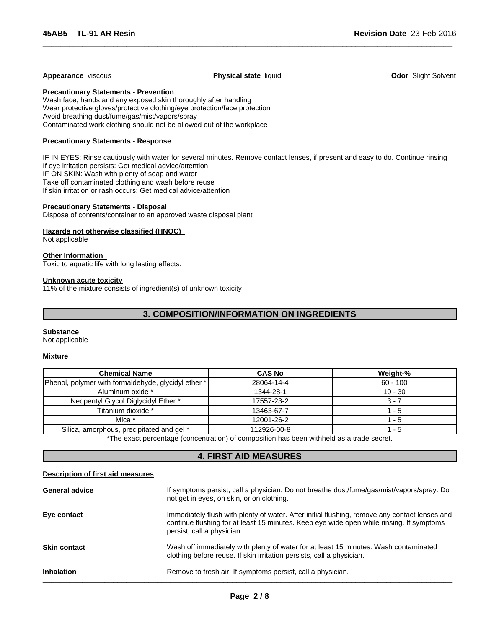#### **Appearance** viscous **Physical state** liquid **Odor** Slight Solvent

 $\overline{\phantom{a}}$  ,  $\overline{\phantom{a}}$  ,  $\overline{\phantom{a}}$  ,  $\overline{\phantom{a}}$  ,  $\overline{\phantom{a}}$  ,  $\overline{\phantom{a}}$  ,  $\overline{\phantom{a}}$  ,  $\overline{\phantom{a}}$  ,  $\overline{\phantom{a}}$  ,  $\overline{\phantom{a}}$  ,  $\overline{\phantom{a}}$  ,  $\overline{\phantom{a}}$  ,  $\overline{\phantom{a}}$  ,  $\overline{\phantom{a}}$  ,  $\overline{\phantom{a}}$  ,  $\overline{\phantom{a}}$ 

**Precautionary Statements - Prevention**

Wash face, hands and any exposed skin thoroughly after handling Wear protective gloves/protective clothing/eye protection/face protection Avoid breathing dust/fume/gas/mist/vapors/spray Contaminated work clothing should not be allowed out of the workplace

# **Precautionary Statements - Response**

IF IN EYES: Rinse cautiously with water for several minutes. Remove contact lenses, if present and easy to do. Continue rinsing If eye irritation persists: Get medical advice/attention IF ON SKIN: Wash with plenty of soap and water Take off contaminated clothing and wash before reuse If skin irritation or rash occurs: Get medical advice/attention

### **Precautionary Statements - Disposal**

Dispose of contents/container to an approved waste disposal plant

### **Hazards not otherwise classified (HNOC)**

Not applicable

#### **Other Information**

Toxic to aquatic life with long lasting effects.

#### **Unknown acute toxicity**

11% of the mixture consists of ingredient(s) of unknown toxicity

# **3. COMPOSITION/INFORMATION ON INGREDIENTS**

#### **Substance**

Not applicable

#### **Mixture**

| <b>Chemical Name</b>                                  | <b>CAS No</b> | Weight-%   |
|-------------------------------------------------------|---------------|------------|
| [Phenol, polymer with formaldehyde, glycidyl ether *] | 28064-14-4    | $60 - 100$ |
| Aluminum oxide *                                      | 1344-28-1     | $10 - 30$  |
| Neopentyl Glycol Diglycidyl Ether *                   | 17557-23-2    | 3 - 7      |
| Titanium dioxide *                                    | 13463-67-7    | - 5        |
| Mica *                                                | 12001-26-2    | - 5        |
| Silica, amorphous, precipitated and gel *             | 112926-00-8   | - 5        |

\*The exact percentage (concentration) of composition has been withheld as a trade secret.

# **4. FIRST AID MEASURES**

#### **Description of first aid measures**

| <b>General advice</b> | If symptoms persist, call a physician. Do not breathe dust/fume/gas/mist/vapors/spray. Do<br>not get in eyes, on skin, or on clothing.                                                                                  |
|-----------------------|-------------------------------------------------------------------------------------------------------------------------------------------------------------------------------------------------------------------------|
| Eye contact           | Immediately flush with plenty of water. After initial flushing, remove any contact lenses and<br>continue flushing for at least 15 minutes. Keep eye wide open while rinsing. If symptoms<br>persist, call a physician. |
| <b>Skin contact</b>   | Wash off immediately with plenty of water for at least 15 minutes. Wash contaminated<br>clothing before reuse. If skin irritation persists, call a physician.                                                           |
| <b>Inhalation</b>     | Remove to fresh air. If symptoms persist, call a physician.                                                                                                                                                             |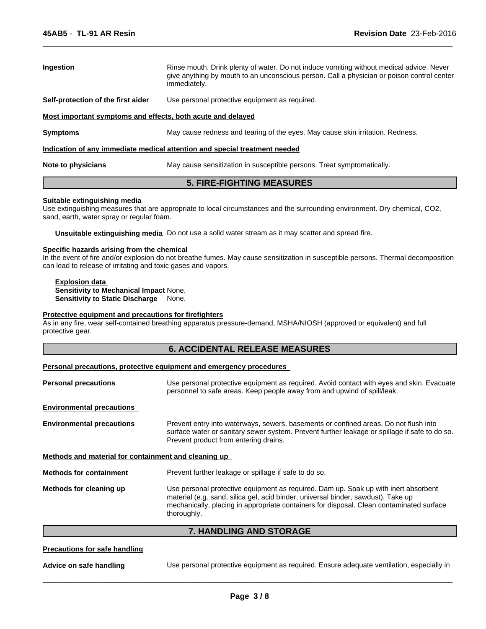| <b>Ingestion</b>                                            | Rinse mouth. Drink plenty of water. Do not induce vomiting without medical advice. Never<br>give anything by mouth to an unconscious person. Call a physician or poison control center<br>immediately. |
|-------------------------------------------------------------|--------------------------------------------------------------------------------------------------------------------------------------------------------------------------------------------------------|
| Self-protection of the first aider                          | Use personal protective equipment as required.                                                                                                                                                         |
| Most important symptoms and effects, both acute and delayed |                                                                                                                                                                                                        |
| <b>Symptoms</b>                                             | May cause redness and tearing of the eyes. May cause skin irritation. Redness.                                                                                                                         |
|                                                             | Indication of any immediate medical attention and special treatment needed                                                                                                                             |
| Note to physicians                                          | May cause sensitization in susceptible persons. Treat symptomatically.                                                                                                                                 |

 $\overline{\phantom{a}}$  ,  $\overline{\phantom{a}}$  ,  $\overline{\phantom{a}}$  ,  $\overline{\phantom{a}}$  ,  $\overline{\phantom{a}}$  ,  $\overline{\phantom{a}}$  ,  $\overline{\phantom{a}}$  ,  $\overline{\phantom{a}}$  ,  $\overline{\phantom{a}}$  ,  $\overline{\phantom{a}}$  ,  $\overline{\phantom{a}}$  ,  $\overline{\phantom{a}}$  ,  $\overline{\phantom{a}}$  ,  $\overline{\phantom{a}}$  ,  $\overline{\phantom{a}}$  ,  $\overline{\phantom{a}}$ 

# **5. FIRE-FIGHTING MEASURES**

### **Suitable extinguishing media**

Use extinguishing measures that are appropriate to local circumstances and the surrounding environment. Dry chemical, CO2, sand, earth, water spray or regular foam.

**Unsuitable extinguishing media** Do not use a solid water stream as it may scatter and spread fire.

# **Specific hazards arising from the chemical**

In the event of fire and/or explosion do not breathe fumes. May cause sensitization in susceptible persons. Thermal decomposition can lead to release of irritating and toxic gases and vapors.

**Explosion data Sensitivity to Mechanical Impact** None. **Sensitivity to Static Discharge** None.

# **Protective equipment and precautions for firefighters**

As in any fire, wear self-contained breathing apparatus pressure-demand, MSHA/NIOSH (approved or equivalent) and full protective gear.

# **6. ACCIDENTAL RELEASE MEASURES**

#### **Personal precautions, protective equipment and emergency procedures**

| <b>Personal precautions</b>                          | Use personal protective equipment as required. Avoid contact with eyes and skin. Evacuate<br>personnel to safe areas. Keep people away from and upwind of spill/leak.                                                                                                               |  |  |
|------------------------------------------------------|-------------------------------------------------------------------------------------------------------------------------------------------------------------------------------------------------------------------------------------------------------------------------------------|--|--|
| <b>Environmental precautions</b>                     |                                                                                                                                                                                                                                                                                     |  |  |
| <b>Environmental precautions</b>                     | Prevent entry into waterways, sewers, basements or confined areas. Do not flush into<br>surface water or sanitary sewer system. Prevent further leakage or spillage if safe to do so.<br>Prevent product from entering drains.                                                      |  |  |
| Methods and material for containment and cleaning up |                                                                                                                                                                                                                                                                                     |  |  |
| <b>Methods for containment</b>                       | Prevent further leakage or spillage if safe to do so.                                                                                                                                                                                                                               |  |  |
| Methods for cleaning up                              | Use personal protective equipment as required. Dam up. Soak up with inert absorbent<br>material (e.g. sand, silica gel, acid binder, universal binder, sawdust). Take up<br>mechanically, placing in appropriate containers for disposal. Clean contaminated surface<br>thoroughly. |  |  |

# **7. HANDLING AND STORAGE**

# **Precautions for safe handling**

**Advice on safe handling** Use personal protective equipment as required. Ensure adequate ventilation, especially in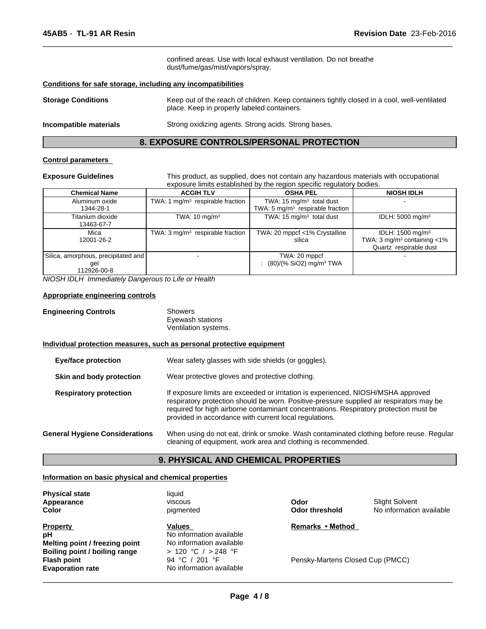confined areas. Use with local exhaust ventilation. Do not breathe dust/fume/gas/mist/vapors/spray.

 $\overline{\phantom{a}}$  ,  $\overline{\phantom{a}}$  ,  $\overline{\phantom{a}}$  ,  $\overline{\phantom{a}}$  ,  $\overline{\phantom{a}}$  ,  $\overline{\phantom{a}}$  ,  $\overline{\phantom{a}}$  ,  $\overline{\phantom{a}}$  ,  $\overline{\phantom{a}}$  ,  $\overline{\phantom{a}}$  ,  $\overline{\phantom{a}}$  ,  $\overline{\phantom{a}}$  ,  $\overline{\phantom{a}}$  ,  $\overline{\phantom{a}}$  ,  $\overline{\phantom{a}}$  ,  $\overline{\phantom{a}}$ 

### **Conditions for safe storage, including any incompatibilities**

| <b>Storage Conditions</b> | Keep out of the reach of children. Keep containers tightly closed in a cool, well-ventilated<br>place. Keep in properly labeled containers. |
|---------------------------|---------------------------------------------------------------------------------------------------------------------------------------------|
|                           |                                                                                                                                             |

**Incompatible materials** Strong oxidizing agents. Strong acids. Strong bases.

# **8. EXPOSURE CONTROLS/PERSONAL PROTECTION**

## **Control parameters**

**Exposure Guidelines** This product, as supplied, does not contain any hazardous materials with occupational exposure limits established by the region specific regulatory bodies.

| <b>Chemical Name</b>                                      | <b>ACGIH TLV</b>                            | <b>OSHA PEL</b>                                          | <b>NIOSH IDLH</b>                                                                                |
|-----------------------------------------------------------|---------------------------------------------|----------------------------------------------------------|--------------------------------------------------------------------------------------------------|
| Aluminum oxide                                            | TWA: 1 $mg/m3$ respirable fraction          | TWA: $15 \text{ mg/m}^3$ total dust                      |                                                                                                  |
| 1344-28-1                                                 |                                             | TWA: 5 $mg/m3$ respirable fraction                       |                                                                                                  |
| Titanium dioxide<br>13463-67-7                            | TWA: $10 \text{ mg/m}^3$                    | TWA: 15 $mg/m3$ total dust                               | IDLH: 5000 mg/m <sup>3</sup>                                                                     |
| Mica<br>12001-26-2                                        | TWA: $3 \text{ mg/m}^3$ respirable fraction | TWA: 20 mppcf <1% Crystalline<br>silica                  | IDLH: 1500 mg/m <sup>3</sup><br>TWA: $3 \text{ mg/m}^3$ containing <1%<br>Quartz respirable dust |
| Silica, amorphous, precipitated and<br>gel<br>112926-00-8 |                                             | TWA: 20 mppcf<br>: $(80)/(%$ SiO2) mg/m <sup>3</sup> TWA |                                                                                                  |

*NIOSH IDLH Immediately Dangerous to Life or Health*

#### **Appropriate engineering controls**

| <b>Engineering Controls</b> | Showers              |
|-----------------------------|----------------------|
|                             | Eyewash stations     |
|                             | Ventilation systems. |

#### **Individual protection measures, such as personal protective equipment**

| <b>Eye/face protection</b>            | Wear safety glasses with side shields (or goggles).                                                                                                                                                                                                                                                                              |
|---------------------------------------|----------------------------------------------------------------------------------------------------------------------------------------------------------------------------------------------------------------------------------------------------------------------------------------------------------------------------------|
| Skin and body protection              | Wear protective gloves and protective clothing.                                                                                                                                                                                                                                                                                  |
| <b>Respiratory protection</b>         | If exposure limits are exceeded or irritation is experienced, NIOSH/MSHA approved<br>respiratory protection should be worn. Positive-pressure supplied air respirators may be<br>required for high airborne contaminant concentrations. Respiratory protection must be<br>provided in accordance with current local regulations. |
| <b>General Hygiene Considerations</b> | When using do not eat, drink or smoke. Wash contaminated clothing before reuse. Regular<br>cleaning of equipment, work area and clothing is recommended.                                                                                                                                                                         |

# **9. PHYSICAL AND CHEMICAL PROPERTIES**

# **Information on basic physical and chemical properties**

| <b>Physical state</b><br>Appearance<br>Color | liquid<br>viscous<br>pigmented | Odor<br>Odor threshold           | Slight Solvent<br>No information available |
|----------------------------------------------|--------------------------------|----------------------------------|--------------------------------------------|
| <b>Property</b>                              | Values                         | Remarks • Method                 |                                            |
| рH                                           | No information available       |                                  |                                            |
| Melting point / freezing point               | No information available       |                                  |                                            |
| Boiling point / boiling range                | > 120 °C / > 248 °F            |                                  |                                            |
| <b>Flash point</b>                           | 94 °C / 201 °F                 | Pensky-Martens Closed Cup (PMCC) |                                            |
| <b>Evaporation rate</b>                      | No information available       |                                  |                                            |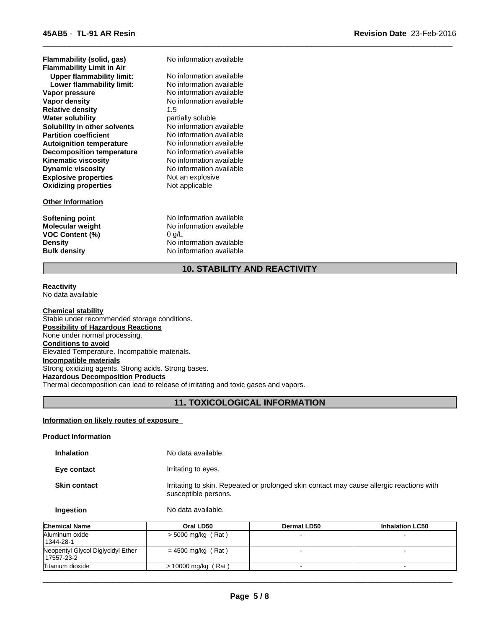| Flammability (solid, gas)        | No information available |
|----------------------------------|--------------------------|
| <b>Flammability Limit in Air</b> |                          |
| <b>Upper flammability limit:</b> | No information available |
| Lower flammability limit:        | No information available |
| Vapor pressure                   | No information available |
| Vapor density                    | No information available |
| <b>Relative density</b>          | 1.5                      |
| <b>Water solubility</b>          | partially soluble        |
| Solubility in other solvents     | No information available |
| <b>Partition coefficient</b>     | No information available |
| <b>Autoignition temperature</b>  | No information available |
| <b>Decomposition temperature</b> | No information available |
| <b>Kinematic viscosity</b>       | No information available |
| <b>Dynamic viscosity</b>         | No information available |
| <b>Explosive properties</b>      | Not an explosive         |
| <b>Oxidizing properties</b>      | Not applicable           |

# **Other Information**

**VOC Content (%)** 0 g/L

**Softening point** No information available **Molecular weight** No information available **Density** No information available **Bulk density** No information available

# **10. STABILITY AND REACTIVITY**

 $\overline{\phantom{a}}$  ,  $\overline{\phantom{a}}$  ,  $\overline{\phantom{a}}$  ,  $\overline{\phantom{a}}$  ,  $\overline{\phantom{a}}$  ,  $\overline{\phantom{a}}$  ,  $\overline{\phantom{a}}$  ,  $\overline{\phantom{a}}$  ,  $\overline{\phantom{a}}$  ,  $\overline{\phantom{a}}$  ,  $\overline{\phantom{a}}$  ,  $\overline{\phantom{a}}$  ,  $\overline{\phantom{a}}$  ,  $\overline{\phantom{a}}$  ,  $\overline{\phantom{a}}$  ,  $\overline{\phantom{a}}$ 

**Reactivity**  No data available

#### **Chemical stability**

Stable under recommended storage conditions. **Possibility of Hazardous Reactions** None under normal processing. **Conditions to avoid** Elevated Temperature. Incompatible materials. **Incompatible materials** Strong oxidizing agents. Strong acids. Strong bases. **Hazardous Decomposition Products** Thermal decomposition can lead to release of irritating and toxic gases and vapors.

# **11. TOXICOLOGICAL INFORMATION**

# **Information on likely routes of exposure**

# **Product Information**

| <b>Inhalation</b>   | No data available.                                                                                               |
|---------------------|------------------------------------------------------------------------------------------------------------------|
| Eye contact         | Irritating to eyes.                                                                                              |
| <b>Skin contact</b> | Irritating to skin. Repeated or prolonged skin contact may cause allergic reactions with<br>susceptible persons. |
| Ingestion           | No data available.                                                                                               |

| <b>Chemical Name</b>                            | Oral LD50                    | <b>Dermal LD50</b> | <b>Inhalation LC50</b> |
|-------------------------------------------------|------------------------------|--------------------|------------------------|
| Aluminum oxide<br>1344-28-1                     | $>$ 5000 mg/kg (Rat)         |                    |                        |
| Neopentyl Glycol Diglycidyl Ether<br>17557-23-2 | $= 4500$ mg/kg (Rat)         |                    |                        |
| Titanium dioxide                                | $> 10000$ mg/kg (<br>ˈ Rat ) |                    |                        |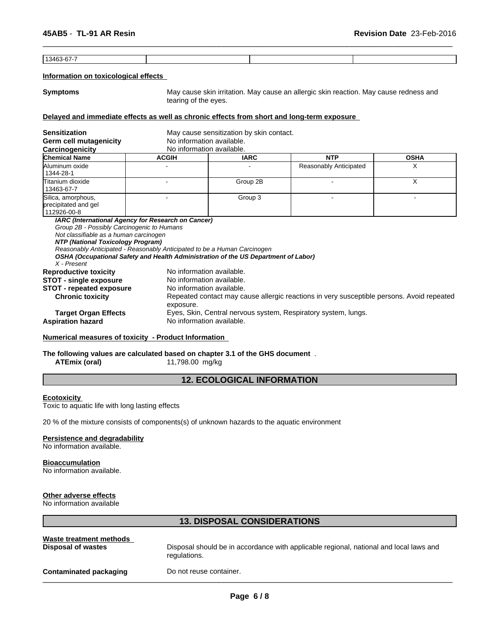13463-67-7

# **Information on toxicological effects**

**Symptoms** May cause skin irritation. May cause an allergic skin reaction. May cause redness and tearing of the eyes.

 $\overline{\phantom{a}}$  ,  $\overline{\phantom{a}}$  ,  $\overline{\phantom{a}}$  ,  $\overline{\phantom{a}}$  ,  $\overline{\phantom{a}}$  ,  $\overline{\phantom{a}}$  ,  $\overline{\phantom{a}}$  ,  $\overline{\phantom{a}}$  ,  $\overline{\phantom{a}}$  ,  $\overline{\phantom{a}}$  ,  $\overline{\phantom{a}}$  ,  $\overline{\phantom{a}}$  ,  $\overline{\phantom{a}}$  ,  $\overline{\phantom{a}}$  ,  $\overline{\phantom{a}}$  ,  $\overline{\phantom{a}}$ 

# **Delayed and immediate effects as well as chronic effects from short and long-term exposure**

| <b>Sensitization</b><br>Germ cell mutagenicity<br>Carcinogenicity                                                                                                        | No information available.<br>No information available.                                                                                                                                      | May cause sensitization by skin contact. |                                                                                           |             |
|--------------------------------------------------------------------------------------------------------------------------------------------------------------------------|---------------------------------------------------------------------------------------------------------------------------------------------------------------------------------------------|------------------------------------------|-------------------------------------------------------------------------------------------|-------------|
| <b>Chemical Name</b>                                                                                                                                                     | <b>ACGIH</b>                                                                                                                                                                                | <b>IARC</b>                              | <b>NTP</b>                                                                                | <b>OSHA</b> |
| Aluminum oxide<br>1344-28-1                                                                                                                                              |                                                                                                                                                                                             |                                          | Reasonably Anticipated                                                                    | X           |
| lTitanium dioxide<br>13463-67-7                                                                                                                                          |                                                                                                                                                                                             | Group 2B                                 |                                                                                           | X           |
| Silica, amorphous,<br>precipitated and gel<br>112926-00-8                                                                                                                |                                                                                                                                                                                             | Group 3                                  |                                                                                           |             |
| Group 2B - Possibly Carcinogenic to Humans<br>Not classifiable as a human carcinogen<br>NTP (National Toxicology Program)<br>X - Present<br><b>Reproductive toxicity</b> | Reasonably Anticipated - Reasonably Anticipated to be a Human Carcinogen<br>OSHA (Occupational Safety and Health Administration of the US Department of Labor)<br>No information available. |                                          |                                                                                           |             |
| <b>STOT - single exposure</b>                                                                                                                                            |                                                                                                                                                                                             | No information available.                |                                                                                           |             |
| <b>STOT - repeated exposure</b><br><b>Chronic toxicity</b>                                                                                                               | No information available.<br>exposure.                                                                                                                                                      |                                          | Repeated contact may cause allergic reactions in very susceptible persons. Avoid repeated |             |
| <b>Target Organ Effects</b><br><b>Aspiration hazard</b>                                                                                                                  | No information available.                                                                                                                                                                   |                                          | Eyes, Skin, Central nervous system, Respiratory system, lungs.                            |             |

# **Numerical measures of toxicity - Product Information**

# **The following values are calculated based on chapter 3.1 of the GHS document** .

**ATEmix (oral)** 11,798.00 mg/kg

# **12. ECOLOGICAL INFORMATION**

#### **Ecotoxicity**

Toxic to aquatic life with long lasting effects

20 % of the mixture consists of components(s) of unknown hazards to the aquatic environment

### **Persistence and degradability**

No information available.

#### **Bioaccumulation**

No information available.

# **Other adverse effects**

No information available

# **13. DISPOSAL CONSIDERATIONS**

| Waste treatment methods       | Disposal should be in accordance with applicable regional, national and local laws and |
|-------------------------------|----------------------------------------------------------------------------------------|
| Disposal of wastes            | regulations.                                                                           |
| <b>Contaminated packaging</b> | Do not reuse container.                                                                |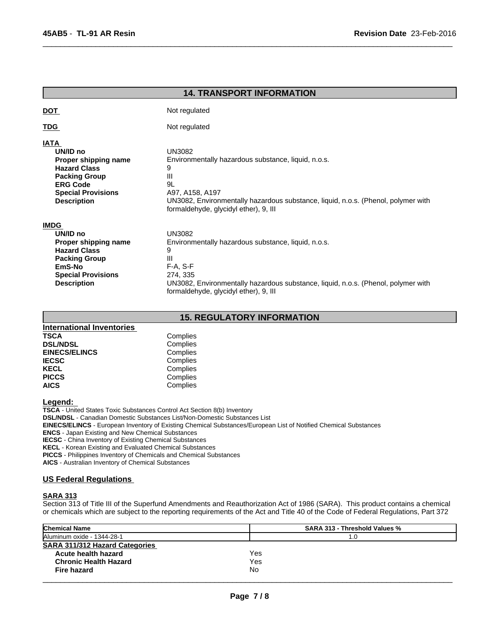| <b>14. TRANSPORT INFORMATION</b>                                                                                                                                     |                                                                                                                                                                                                                                       |  |
|----------------------------------------------------------------------------------------------------------------------------------------------------------------------|---------------------------------------------------------------------------------------------------------------------------------------------------------------------------------------------------------------------------------------|--|
| <b>DOT</b>                                                                                                                                                           | Not regulated                                                                                                                                                                                                                         |  |
| <u>TDG</u>                                                                                                                                                           | Not regulated                                                                                                                                                                                                                         |  |
| <b>IATA</b><br>UN/ID no<br>Proper shipping name<br><b>Hazard Class</b><br><b>Packing Group</b><br><b>ERG Code</b><br><b>Special Provisions</b><br><b>Description</b> | <b>UN3082</b><br>Environmentally hazardous substance, liquid, n.o.s.<br>9<br>Ш<br>9L<br>A97, A158, A197<br>UN3082, Environmentally hazardous substance, liquid, n.o.s. (Phenol, polymer with<br>formaldehyde, glycidyl ether), 9, III |  |
| <b>IMDG</b><br>UN/ID no<br>Proper shipping name<br><b>Hazard Class</b><br><b>Packing Group</b><br>EmS-No<br><b>Special Provisions</b><br><b>Description</b>          | <b>UN3082</b><br>Environmentally hazardous substance, liquid, n.o.s.<br>9<br>Ш<br>F-A, S-F<br>274, 335<br>UN3082, Environmentally hazardous substance, liquid, n.o.s. (Phenol, polymer with<br>formaldehyde, glycidyl ether), 9, III  |  |

 $\overline{\phantom{a}}$  ,  $\overline{\phantom{a}}$  ,  $\overline{\phantom{a}}$  ,  $\overline{\phantom{a}}$  ,  $\overline{\phantom{a}}$  ,  $\overline{\phantom{a}}$  ,  $\overline{\phantom{a}}$  ,  $\overline{\phantom{a}}$  ,  $\overline{\phantom{a}}$  ,  $\overline{\phantom{a}}$  ,  $\overline{\phantom{a}}$  ,  $\overline{\phantom{a}}$  ,  $\overline{\phantom{a}}$  ,  $\overline{\phantom{a}}$  ,  $\overline{\phantom{a}}$  ,  $\overline{\phantom{a}}$ 

# **15. REGULATORY INFORMATION**

| <b>International Inventories</b> |          |  |
|----------------------------------|----------|--|
| <b>TSCA</b>                      | Complies |  |
| <b>DSL/NDSL</b>                  | Complies |  |
| <b>EINECS/ELINCS</b>             | Complies |  |
| <b>IECSC</b>                     | Complies |  |
| <b>KECL</b>                      | Complies |  |
| <b>PICCS</b>                     | Complies |  |
| <b>AICS</b>                      | Complies |  |

# **Legend:**

**TSCA** - United States Toxic Substances Control Act Section 8(b) Inventory

**DSL/NDSL** - Canadian Domestic Substances List/Non-Domestic Substances List

**EINECS/ELINCS** - European Inventory of Existing Chemical Substances/European List of Notified Chemical Substances

**ENCS** - Japan Existing and New Chemical Substances

**IECSC** - China Inventory of Existing Chemical Substances

**KECL** - Korean Existing and Evaluated Chemical Substances

**PICCS** - Philippines Inventory of Chemicals and Chemical Substances

**AICS** - Australian Inventory of Chemical Substances

# **US Federal Regulations**

# **SARA 313**

Section 313 of Title III of the Superfund Amendments and Reauthorization Act of 1986 (SARA). This product contains a chemical or chemicals which are subject to the reporting requirements of the Act and Title 40 of the Code of Federal Regulations, Part 372

| <b>Chemical Name</b>                  | <b>SARA 313 - Threshold Values %</b> |
|---------------------------------------|--------------------------------------|
| Aluminum oxide - 1344-28-1            | 1.0                                  |
| <b>SARA 311/312 Hazard Categories</b> |                                      |
| Acute health hazard                   | Yes                                  |
| <b>Chronic Health Hazard</b>          | Yes                                  |
| Fire hazard                           | No                                   |
|                                       |                                      |